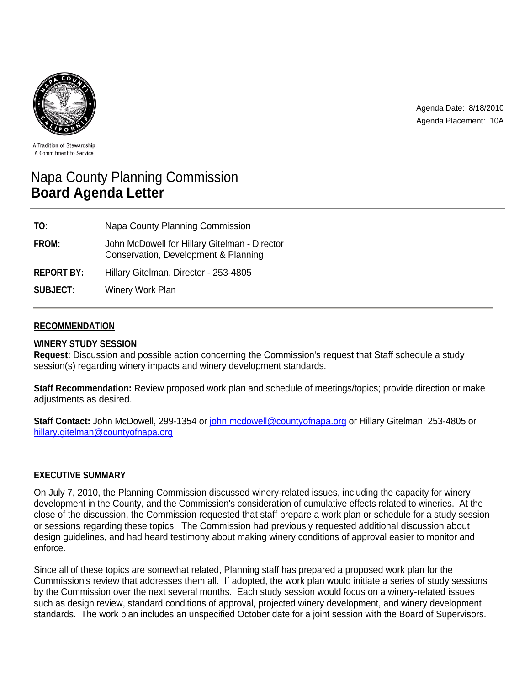

Agenda Date: 8/18/2010 Agenda Placement: 10A

A Tradition of Stewardship A Commitment to Service

# Napa County Planning Commission **Board Agenda Letter**

| TO:               | Napa County Planning Commission                                                       |
|-------------------|---------------------------------------------------------------------------------------|
| FROM:             | John McDowell for Hillary Gitelman - Director<br>Conservation, Development & Planning |
| <b>REPORT BY:</b> | Hillary Gitelman, Director - 253-4805                                                 |
| <b>SUBJECT:</b>   | <b>Winery Work Plan</b>                                                               |

## **RECOMMENDATION**

## **WINERY STUDY SESSION**

**Request:** Discussion and possible action concerning the Commission's request that Staff schedule a study session(s) regarding winery impacts and winery development standards.

**Staff Recommendation:** Review proposed work plan and schedule of meetings/topics; provide direction or make adjustments as desired.

**Staff Contact:** John McDowell, 299-1354 or john.mcdowell@countyofnapa.org or Hillary Gitelman, 253-4805 or hillary.gitelman@countyofnapa.org

## **EXECUTIVE SUMMARY**

On July 7, 2010, the Planning Commission discussed winery-related issues, including the capacity for winery development in the County, and the Commission's consideration of cumulative effects related to wineries. At the close of the discussion, the Commission requested that staff prepare a work plan or schedule for a study session or sessions regarding these topics. The Commission had previously requested additional discussion about design guidelines, and had heard testimony about making winery conditions of approval easier to monitor and enforce.

Since all of these topics are somewhat related, Planning staff has prepared a proposed work plan for the Commission's review that addresses them all. If adopted, the work plan would initiate a series of study sessions by the Commission over the next several months. Each study session would focus on a winery-related issues such as design review, standard conditions of approval, projected winery development, and winery development standards. The work plan includes an unspecified October date for a joint session with the Board of Supervisors.